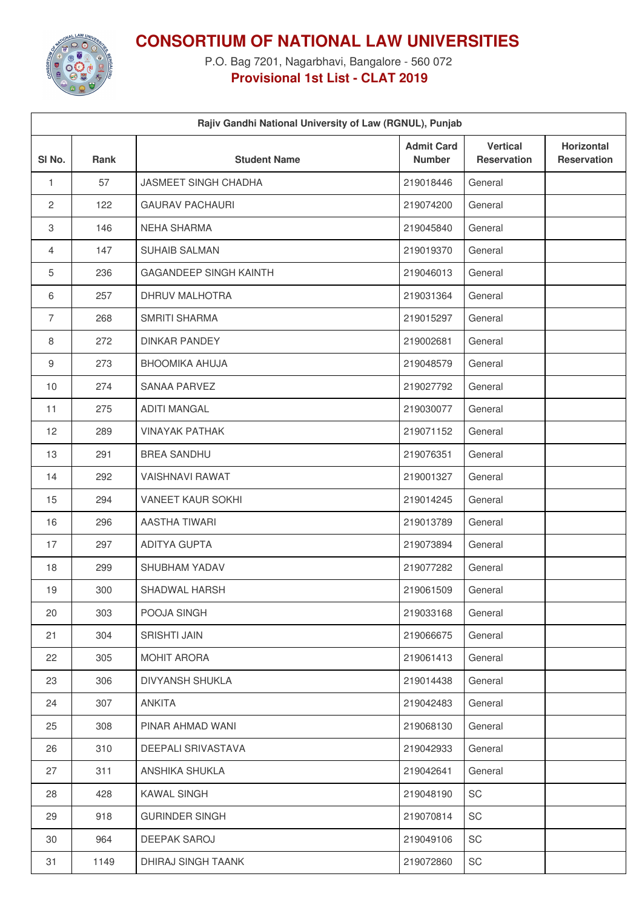

**CONSORTIUM OF NATIONAL LAW UNIVERSITIES**

P.O. Bag 7201, Nagarbhavi, Bangalore - 560 072 **Provisional 1st List - CLAT 2019**

| Rajiv Gandhi National University of Law (RGNUL), Punjab |      |                               |                                    |                                       |                                  |  |  |  |
|---------------------------------------------------------|------|-------------------------------|------------------------------------|---------------------------------------|----------------------------------|--|--|--|
| SI <sub>No.</sub>                                       | Rank | <b>Student Name</b>           | <b>Admit Card</b><br><b>Number</b> | <b>Vertical</b><br><b>Reservation</b> | Horizontal<br><b>Reservation</b> |  |  |  |
| 1                                                       | 57   | <b>JASMEET SINGH CHADHA</b>   | 219018446                          | General                               |                                  |  |  |  |
| $\overline{2}$                                          | 122  | <b>GAURAV PACHAURI</b>        | 219074200                          | General                               |                                  |  |  |  |
| 3                                                       | 146  | <b>NEHA SHARMA</b>            | 219045840                          | General                               |                                  |  |  |  |
| 4                                                       | 147  | <b>SUHAIB SALMAN</b>          | 219019370                          | General                               |                                  |  |  |  |
| 5                                                       | 236  | <b>GAGANDEEP SINGH KAINTH</b> | 219046013                          | General                               |                                  |  |  |  |
| 6                                                       | 257  | DHRUV MALHOTRA                | 219031364                          | General                               |                                  |  |  |  |
| $\overline{7}$                                          | 268  | <b>SMRITI SHARMA</b>          | 219015297                          | General                               |                                  |  |  |  |
| 8                                                       | 272  | <b>DINKAR PANDEY</b>          | 219002681                          | General                               |                                  |  |  |  |
| 9                                                       | 273  | <b>BHOOMIKA AHUJA</b>         | 219048579                          | General                               |                                  |  |  |  |
| 10                                                      | 274  | <b>SANAA PARVEZ</b>           | 219027792                          | General                               |                                  |  |  |  |
| 11                                                      | 275  | <b>ADITI MANGAL</b>           | 219030077                          | General                               |                                  |  |  |  |
| 12                                                      | 289  | <b>VINAYAK PATHAK</b>         | 219071152                          | General                               |                                  |  |  |  |
| 13                                                      | 291  | <b>BREA SANDHU</b>            | 219076351                          | General                               |                                  |  |  |  |
| 14                                                      | 292  | <b>VAISHNAVI RAWAT</b>        | 219001327                          | General                               |                                  |  |  |  |
| 15                                                      | 294  | <b>VANEET KAUR SOKHI</b>      | 219014245                          | General                               |                                  |  |  |  |
| 16                                                      | 296  | <b>AASTHA TIWARI</b>          | 219013789                          | General                               |                                  |  |  |  |
| 17                                                      | 297  | <b>ADITYA GUPTA</b>           | 219073894                          | General                               |                                  |  |  |  |
| 18                                                      | 299  | SHUBHAM YADAV                 | 219077282                          | General                               |                                  |  |  |  |
| 19                                                      | 300  | SHADWAL HARSH                 | 219061509                          | General                               |                                  |  |  |  |
| 20                                                      | 303  | POOJA SINGH                   | 219033168                          | General                               |                                  |  |  |  |
| 21                                                      | 304  | <b>SRISHTI JAIN</b>           | 219066675                          | General                               |                                  |  |  |  |
| 22                                                      | 305  | MOHIT ARORA                   | 219061413                          | General                               |                                  |  |  |  |
| 23                                                      | 306  | <b>DIVYANSH SHUKLA</b>        | 219014438                          | General                               |                                  |  |  |  |
| 24                                                      | 307  | <b>ANKITA</b>                 | 219042483                          | General                               |                                  |  |  |  |
| 25                                                      | 308  | PINAR AHMAD WANI              | 219068130                          | General                               |                                  |  |  |  |
| 26                                                      | 310  | DEEPALI SRIVASTAVA            | 219042933                          | General                               |                                  |  |  |  |
| 27                                                      | 311  | ANSHIKA SHUKLA                | 219042641                          | General                               |                                  |  |  |  |
| 28                                                      | 428  | <b>KAWAL SINGH</b>            | 219048190                          | SC                                    |                                  |  |  |  |
| 29                                                      | 918  | <b>GURINDER SINGH</b>         | 219070814                          | SC                                    |                                  |  |  |  |
| 30                                                      | 964  | DEEPAK SAROJ                  | 219049106                          | SC                                    |                                  |  |  |  |
| 31                                                      | 1149 | DHIRAJ SINGH TAANK            | 219072860                          | SC                                    |                                  |  |  |  |